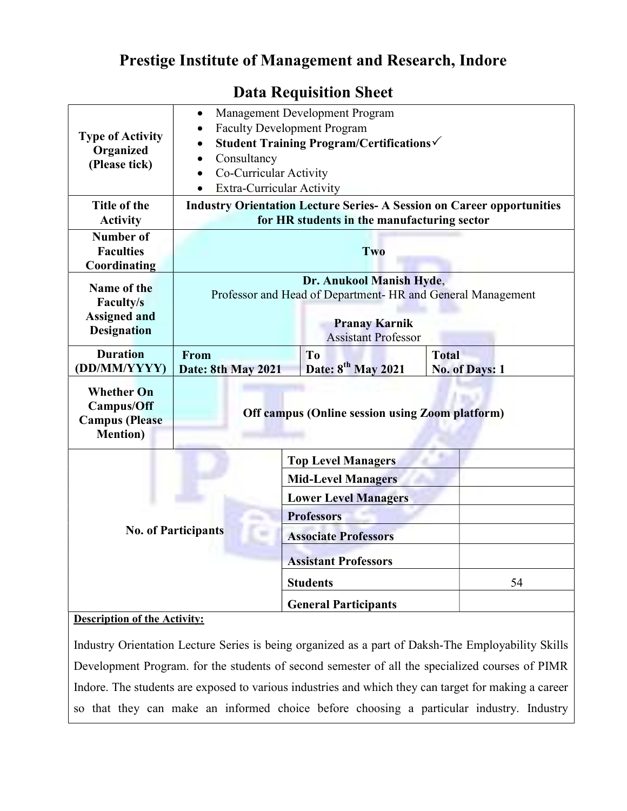## Prestige Institute of Management and Research, Indore

| <b>Type of Activity</b><br>Organized<br>(Please tick)                               | Management Development Program<br>$\bullet$<br><b>Faculty Development Program</b><br>Student Training Program/Certifications√                 |  |                                |                       |
|-------------------------------------------------------------------------------------|-----------------------------------------------------------------------------------------------------------------------------------------------|--|--------------------------------|-----------------------|
|                                                                                     | Consultancy<br>$\bullet$                                                                                                                      |  |                                |                       |
|                                                                                     | Co-Curricular Activity<br>$\bullet$                                                                                                           |  |                                |                       |
|                                                                                     | <b>Extra-Curricular Activity</b><br>$\bullet$                                                                                                 |  |                                |                       |
| Title of the                                                                        |                                                                                                                                               |  |                                |                       |
| <b>Activity</b>                                                                     | <b>Industry Orientation Lecture Series- A Session on Career opportunities</b><br>for HR students in the manufacturing sector                  |  |                                |                       |
|                                                                                     |                                                                                                                                               |  |                                |                       |
| Number of<br><b>Faculties</b>                                                       | Two                                                                                                                                           |  |                                |                       |
| Coordinating                                                                        |                                                                                                                                               |  |                                |                       |
| Name of the                                                                         | Dr. Anukool Manish Hyde,<br>Professor and Head of Department- HR and General Management<br><b>Pranay Karnik</b><br><b>Assistant Professor</b> |  |                                |                       |
|                                                                                     |                                                                                                                                               |  |                                |                       |
| <b>Assigned and</b>                                                                 |                                                                                                                                               |  |                                |                       |
| <b>Designation</b>                                                                  |                                                                                                                                               |  |                                |                       |
| <b>Duration</b>                                                                     |                                                                                                                                               |  |                                |                       |
| (DD/MM/YYYY)                                                                        | Date: 8th May 2021                                                                                                                            |  | Date: 8 <sup>th</sup> May 2021 | <b>No. of Days: 1</b> |
| <b>Whether On</b><br><b>Campus/Off</b><br><b>Campus</b> (Please<br><b>Mention</b> ) | <b>Off campus (Online session using Zoom platform)</b>                                                                                        |  |                                |                       |
|                                                                                     |                                                                                                                                               |  | <b>Top Level Managers</b>      |                       |
| <b>No. of Participants</b>                                                          |                                                                                                                                               |  | <b>Mid-Level Managers</b>      |                       |
|                                                                                     |                                                                                                                                               |  | <b>Lower Level Managers</b>    |                       |
|                                                                                     |                                                                                                                                               |  | <b>Professors</b>              |                       |
|                                                                                     |                                                                                                                                               |  | <b>Associate Professors</b>    |                       |
|                                                                                     |                                                                                                                                               |  | <b>Assistant Professors</b>    |                       |
|                                                                                     |                                                                                                                                               |  | <b>Students</b>                | 54                    |
|                                                                                     |                                                                                                                                               |  | <b>General Participants</b>    |                       |
| <b>Description of the Activity:</b>                                                 |                                                                                                                                               |  |                                |                       |

## Data Requisition Sheet

Industry Orientation Lecture Series is being organized as a part of Daksh-The Employability Skills Development Program. for the students of second semester of all the specialized courses of PIMR Indore. The students are exposed to various industries and which they can target for making a career so that they can make an informed choice before choosing a particular industry. Industry